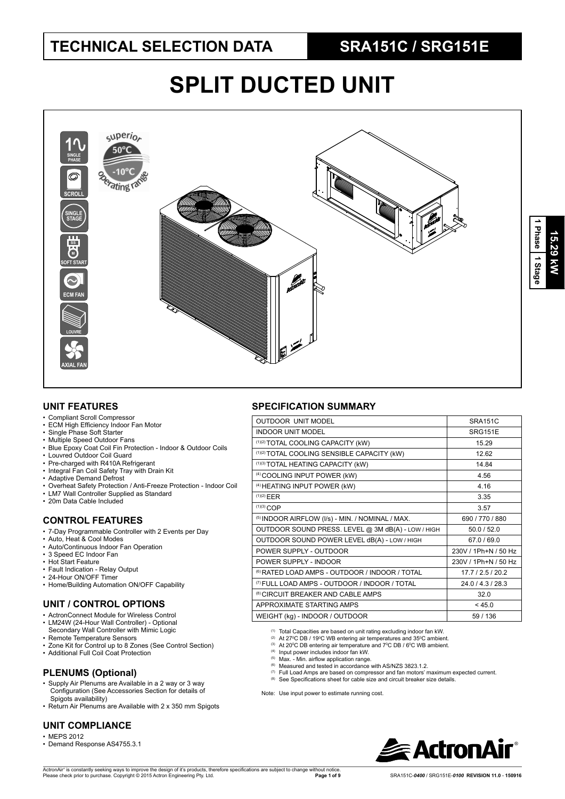# **SPLIT DUCTED UNIT**



### **UNIT FEATURES**

- Compliant Scroll Compressor
- ECM High Efficiency Indoor Fan Motor
- Single Phase Soft Starter
- Multiple Speed Outdoor Fans
- Blue Epoxy Coat Coil Fin Protection Indoor & Outdoor Coils
- Louvred Outdoor Coil Guard
- Pre-charged with R410A Refrigerant • Integral Fan Coil Safety Tray with Drain Kit
- 
- Adaptive Demand Defrost
- Overheat Safety Protection / Anti-Freeze Protection Indoor Coil
- LM7 Wall Controller Supplied as Standard
- 20m Data Cable Included

#### **CONTROL FEATURES**

- 7-Day Programmable Controller with 2 Events per Day
- Auto, Heat & Cool Modes
- Auto/Continuous Indoor Fan Operation
- 3 Speed EC Indoor Fan
- Hot Start Feature
- Fault Indication Relay Output
- 24-Hour ON/OFF Timer
- Home/Building Automation ON/OFF Capability

### **UNIT / CONTROL OPTIONS**

- ActronConnect Module for Wireless Control
- LM24W (24-Hour Wall Controller) Optional Secondary Wall Controller with Mimic Logic
- Remote Temperature Sensors
- Zone Kit for Control up to 8 Zones (See Control Section)
- Additional Full Coil Coat Protection

### **PLENUMS (Optional)**

- Supply Air Plenums are Available in a 2 way or 3 way Configuration (See Accessories Section for details of Spigots availability)
- Return Air Plenums are Available with 2 x 350 mm Spigots

### **UNIT COMPLIANCE**

- MEPS 2012
- Demand Response AS4755.3.1

## **SPECIFICATION SUMMARY**

| <b>OUTDOOR UNIT MODEL</b>                                 | <b>SRA151C</b>       |
|-----------------------------------------------------------|----------------------|
| <b>INDOOR UNIT MODEL</b>                                  | SRG151E              |
| (1)(2) TOTAL COOLING CAPACITY (kW)                        | 15.29                |
| (1)(2) TOTAL COOLING SENSIBLE CAPACITY (kW)               | 1262                 |
| (1)(3) TOTAL HEATING CAPACITY (kW)                        | 14 84                |
| <sup>(4)</sup> COOLING INPUT POWER (kW)                   | 4.56                 |
| <sup>(4)</sup> HEATING INPUT POWER (kW)                   | 4 1 6                |
| $(1)(2)$ EER                                              | 3.35                 |
| $(1)(3)$ COP                                              | 3.57                 |
| (5) INDOOR AIRFLOW (I/s) - MIN. / NOMINAL / MAX.          | 690 / 770 / 880      |
| OUTDOOR SOUND PRESS. LEVEL @ 3M dB(A) - LOW / HIGH        | 50.0 / 52.0          |
| OUTDOOR SOUND POWER LEVEL dB(A) - LOW / HIGH              | 67.0 / 69.0          |
| POWER SUPPLY - OUTDOOR                                    | 230V / 1Ph+N / 50 Hz |
| POWER SUPPLY - INDOOR                                     | 230V / 1Ph+N / 50 Hz |
| <sup>(6)</sup> RATED LOAD AMPS - OUTDOOR / INDOOR / TOTAL | 17.7/2.5/20.2        |
| <sup>(7)</sup> FULL LOAD AMPS - OUTDOOR / INDOOR / TOTAL  | 24.0 / 4.3 / 28.3    |
| <sup>(8)</sup> CIRCUIT BREAKER AND CABLE AMPS             | 32.0                 |
| APPROXIMATE STARTING AMPS                                 | < 45.0               |
| WEIGHT (kg) - INDOOR / OUTDOOR                            | 59/136               |
|                                                           |                      |

(1) Total Capacities are based on unit rating excluding indoor fan kW.

- <sup>(2)</sup> At 27°C DB / 19°C WB entering air temperatures and 35°C ambient.<br><sup>(3)</sup> At 20°C DB entering air temperature and 7°C DB / 6°C WB ambient.
- 
- 
- <sup>(4)</sup> Input power includes indoor fan kW.<br><sup>(5)</sup> Max. Min. airflow application range.<br><sup>(6)</sup> Measured and tested in accordance with AS/NZS 3823.1.2.
	- (7) Full Load Amps are based on compressor and fan motors' maximum expected current.
	- (8) See Specifications sheet for cable size and circuit breaker size details.

Note: Use input power to estimate running cost.

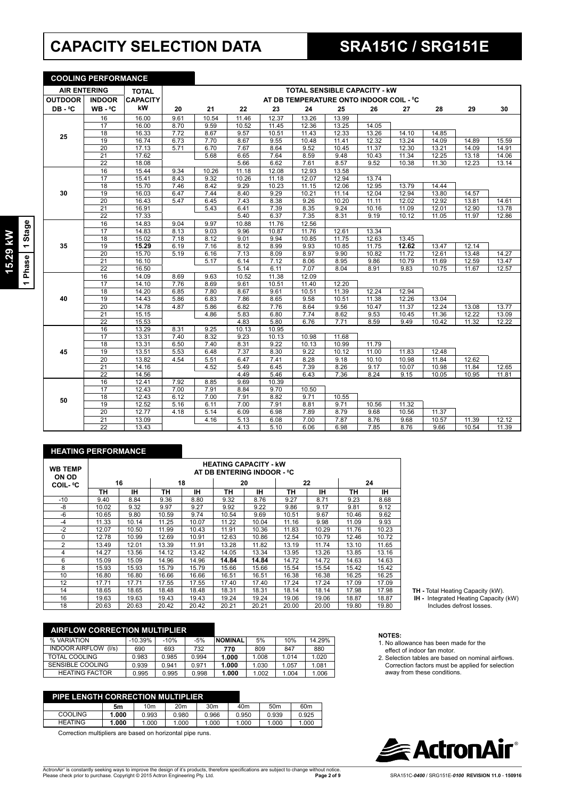# **CAPACITY SELECTION DATA SRA151C / SRG151E**

|                     | <b>COOLING PERFORMANCE</b> |                    |      |       |       |       |                                         |       |       |       |       |       |       |
|---------------------|----------------------------|--------------------|------|-------|-------|-------|-----------------------------------------|-------|-------|-------|-------|-------|-------|
| <b>AIR ENTERING</b> |                            | <b>TOTAL</b>       |      |       |       |       | <b>TOTAL SENSIBLE CAPACITY - KW</b>     |       |       |       |       |       |       |
| <b>OUTDOOR</b>      | <b>INDOOR</b>              | <b>CAPACITY</b>    |      |       |       |       | AT DB TEMPERATURE ONTO INDOOR COIL - °C |       |       |       |       |       |       |
| $DB - 0C$           | $WB - C$                   | kW                 | 20   | 21    | 22    | 23    | 24                                      | 25    | 26    | 27    | 28    | 29    | 30    |
|                     | 16                         | 16.00              | 9.61 | 10.54 | 11.46 | 12.37 | 13.26                                   | 13.99 |       |       |       |       |       |
|                     | 17                         | 16.00              | 8.70 | 9.59  | 10.52 | 11.45 | 12.36                                   | 13.25 | 14.05 |       |       |       |       |
| 25                  | 18                         | 16.33              | 7.72 | 8.67  | 9.57  | 10.51 | 11.43                                   | 12.33 | 13.26 | 14.10 | 14.85 |       |       |
|                     | 19                         | 16.74              | 6.73 | 7.70  | 8.67  | 9.55  | 10.48                                   | 11.41 | 12.32 | 13.24 | 14.09 | 14.89 | 15.59 |
|                     | $\overline{20}$            | $\overline{17.13}$ | 5.71 | 6.70  | 7.67  | 8.64  | 9.52                                    | 10.45 | 11.37 | 12.30 | 13.21 | 14.09 | 14.91 |
|                     | 21                         | 17.62              |      | 5.68  | 6.65  | 7.64  | 8.59                                    | 9.48  | 10.43 | 11.34 | 12.25 | 13.18 | 14.06 |
|                     | 22                         | 18.08              |      |       | 5.66  | 6.62  | 7.61                                    | 8.57  | 9.52  | 10.38 | 11.30 | 12.23 | 13.14 |
|                     | 16                         | 15.44              | 9.34 | 10.26 | 11.18 | 12.08 | 12.93                                   | 13.58 |       |       |       |       |       |
|                     | 17                         | 15.41              | 8.43 | 9.32  | 10.26 | 11.18 | 12.07                                   | 12.94 | 13.74 |       |       |       |       |
|                     | 18                         | 15.70              | 7.46 | 8.42  | 9.29  | 10.23 | 11.15                                   | 12.06 | 12.95 | 13.79 | 14.44 |       |       |
| 30                  | $\overline{19}$            | 16.03              | 6.47 | 7.44  | 8.40  | 9.29  | 10.21                                   | 11.14 | 12.04 | 12.94 | 13.80 | 14.57 |       |
|                     | $\overline{20}$            | 16.43              | 5.47 | 6.45  | 7.43  | 8.38  | 9.26                                    | 10.20 | 11.11 | 12.02 | 12.92 | 13.81 | 14.61 |
|                     | 21                         | 16.91              |      | 5.43  | 6.41  | 7.39  | 8.35                                    | 9.24  | 10.16 | 11.09 | 12.01 | 12.90 | 13.78 |
|                     | $\overline{22}$            | 17.33              |      |       | 5.40  | 6.37  | 7.35                                    | 8.31  | 9.19  | 10.12 | 11.05 | 11.97 | 12.86 |
|                     | 16                         | 14.83              | 9.04 | 9.97  | 10.88 | 11.76 | 12.56                                   |       |       |       |       |       |       |
|                     | 17                         | 14.83              | 8.13 | 9.03  | 9.96  | 10.87 | 11.76                                   | 12.61 | 13.34 |       |       |       |       |
|                     | $\overline{18}$            | 15.02              | 7.18 | 8.12  | 9.01  | 9.94  | 10.85                                   | 11.75 | 12.63 | 13.45 |       |       |       |
| 35                  | $\overline{19}$            | 15.29              | 6.19 | 7.16  | 8.12  | 8.99  | 9.93                                    | 10.85 | 11.75 | 12.62 | 13.47 | 12.14 |       |
|                     | 20                         | 15.70              | 5.19 | 6.16  | 7.13  | 8.09  | 8.97                                    | 9.90  | 10.82 | 11.72 | 12.61 | 13.48 | 14.27 |
|                     | 21                         | 16.10              |      | 5.17  | 6.14  | 7.12  | 8.06                                    | 8.95  | 9.86  | 10.79 | 11.69 | 12.59 | 13.47 |
|                     | $\overline{22}$            | 16.50              |      |       | 5.14  | 6.11  | 7.07                                    | 8.04  | 8.91  | 9.83  | 10.75 | 11.67 | 12.57 |
|                     | 16                         | 14.09              | 8.69 | 9.63  | 10.52 | 11.38 | 12.09                                   |       |       |       |       |       |       |
|                     | $\overline{17}$            | 14.10              | 7.76 | 8.69  | 9.61  | 10.51 | 11.40                                   | 12.20 |       |       |       |       |       |
|                     | $\overline{18}$            | 14.20              | 6.85 | 7.80  | 8.67  | 9.61  | 10.51                                   | 11.39 | 12.24 | 12.94 |       |       |       |
| 40                  | 19                         | 14.43              | 5.86 | 6.83  | 7.86  | 8.65  | 9.58                                    | 10.51 | 11.38 | 12.26 | 13.04 |       |       |
|                     | $\overline{20}$            | 14.78              | 4.87 | 5.86  | 6.82  | 7.76  | 8.64                                    | 9.56  | 10.47 | 11.37 | 12.24 | 13.08 | 13.77 |
|                     | 21                         | 15.15              |      | 4.86  | 5.83  | 6.80  | 7.74                                    | 8.62  | 9.53  | 10.45 | 11.36 | 12.22 | 13.09 |
|                     | $\overline{22}$            | 15.53              |      |       | 4.83  | 5.80  | 6.76                                    | 7.71  | 8.59  | 9.49  | 10.42 | 11.32 | 12.22 |
|                     | 16                         | 13.29              | 8.31 | 9.25  | 10.13 | 10.95 |                                         |       |       |       |       |       |       |
|                     | 17                         | 13.31              | 7.40 | 8.32  | 9.23  | 10.13 | 10.98                                   | 11.68 |       |       |       |       |       |
|                     | 18                         | 13.31              | 6.50 | 7.40  | 8.31  | 9.22  | 10.13                                   | 10.99 | 11.79 |       |       |       |       |
| 45                  | 19                         | 13.51              | 5.53 | 6.48  | 7.37  | 8.30  | 9.22                                    | 10.12 | 11.00 | 11.83 | 12.48 |       |       |
|                     | 20                         | 13.82              | 4.54 | 5.51  | 6.47  | 7.41  | 8.28                                    | 9.18  | 10.10 | 10.98 | 11.84 | 12.62 |       |
|                     | 21                         | 14.16              |      | 4.52  | 5.49  | 6.45  | 7.39                                    | 8.26  | 9.17  | 10.07 | 10.98 | 11.84 | 12.65 |
|                     | $\overline{22}$            | 14.56              |      |       | 4.49  | 5.46  | 6.43                                    | 7.36  | 8.24  | 9.15  | 10.05 | 10.95 | 11.81 |
|                     | 16                         | 12.41              | 7.92 | 8.85  | 9.69  | 10.39 |                                         |       |       |       |       |       |       |
|                     | 17                         | 12.43              | 7.00 | 7.91  | 8.84  | 9.70  | 10.50                                   |       |       |       |       |       |       |
| 50                  | 18                         | 12.43              | 6.12 | 7.00  | 7.91  | 8.82  | 9.71                                    | 10.55 |       |       |       |       |       |
|                     | 19                         | 12.52              | 5.16 | 6.11  | 7.00  | 7.91  | 8.81                                    | 9.71  | 10.56 | 11.32 |       |       |       |
|                     | $\overline{20}$            | 12.77              | 4.18 | 5.14  | 6.09  | 6.98  | 7.89                                    | 8.79  | 9.68  | 10.56 | 11.37 |       |       |
|                     | $\overline{21}$            | 13.09              |      | 4.16  | 5.13  | 6.08  | 7.00                                    | 7.87  | 8.76  | 9.68  | 10.57 | 11.39 | 12.12 |
|                     | $\overline{22}$            | 13.43              |      |       | 4.13  | 5.10  | 6.06                                    | 6.98  | 7.85  | 8.76  | 9.66  | 10.54 | 11.39 |

#### **HEATING PERFORMANCE**

| <b>WB TEMP</b><br>ON OD |       |       |       |       |       | <b>HEATING CAPACITY - kW</b><br>AT DB ENTERING INDOOR - °C |       |       |       |       |
|-------------------------|-------|-------|-------|-------|-------|------------------------------------------------------------|-------|-------|-------|-------|
| <b>COIL-</b> °C         |       | 16    |       | 18    |       | 20                                                         |       | 22    |       | 24    |
|                         | TН    | IΗ    | TН    | ıн    | TН    | ıн                                                         | TН    | тн    | ΤН    | ıн    |
| $-10$                   | 9.40  | 8.84  | 9.36  | 8.80  | 9.32  | 8.76                                                       | 9.27  | 8.71  | 9.23  | 8.68  |
| -8                      | 10.02 | 9.32  | 9.97  | 9.27  | 9.92  | 9.22                                                       | 9.86  | 9.17  | 9.81  | 9.12  |
| $-6$                    | 10.65 | 9.80  | 10.59 | 9.74  | 10.54 | 9.69                                                       | 10.51 | 9.67  | 10.46 | 9.62  |
| $-4$                    | 11.33 | 10.14 | 11.25 | 10.07 | 11.22 | 10.04                                                      | 11.16 | 9.98  | 11.09 | 9.93  |
| $-2$                    | 12.07 | 10.50 | 11.99 | 10.43 | 11.91 | 10.36                                                      | 11.83 | 10.29 | 11.76 | 10.23 |
| $\Omega$                | 12.78 | 10.99 | 12.69 | 10.91 | 12.63 | 10.86                                                      | 12.54 | 10.79 | 12.46 | 10.72 |
| $\overline{2}$          | 13.49 | 12.01 | 13.39 | 11.91 | 13.28 | 11.82                                                      | 13.19 | 11.74 | 13.10 | 11.65 |
| 4                       | 14.27 | 13.56 | 14.12 | 13.42 | 14.05 | 13.34                                                      | 13.95 | 13.26 | 13.85 | 13.16 |
| 6                       | 15.09 | 15.09 | 14.96 | 14.96 | 14.84 | 14.84                                                      | 14.72 | 14.72 | 14.63 | 14.63 |
| 8                       | 15.93 | 15.93 | 15.79 | 15.79 | 15.66 | 15.66                                                      | 15.54 | 15.54 | 15.42 | 15.42 |
| 10                      | 16.80 | 16.80 | 16.66 | 16.66 | 16.51 | 16.51                                                      | 16.38 | 16.38 | 16.25 | 16.25 |
| 12                      | 17.71 | 17.71 | 17.55 | 17.55 | 17.40 | 17.40                                                      | 17.24 | 17.24 | 17.09 | 17.09 |
| 14                      | 18.65 | 18.65 | 18.48 | 18.48 | 18.31 | 18.31                                                      | 18.14 | 18.14 | 17.98 | 17.98 |
| 16                      | 19.63 | 19.63 | 19.43 | 19.43 | 19.24 | 19.24                                                      | 19.06 | 19.06 | 18.87 | 18.87 |
| 18                      | 20.63 | 20.63 | 20.42 | 20.42 | 20.21 | 20.21                                                      | 20.00 | 20.00 | 19.80 | 19.80 |

| <b>AIRFLOW CORRECTION MULTIPLIER</b> |           |        |       |                |       |       |        |
|--------------------------------------|-----------|--------|-------|----------------|-------|-------|--------|
| % VARIATION                          | $-10.39%$ | $-10%$ | $-5%$ | <b>NOMINAL</b> | 5%    | 10%   | 14.29% |
| <b>INDOOR AIRFLOW</b><br>(1/s)       | 690       | 693    | 732   | 770            | 809   | 847   | 880    |
| TOTAL COOLING                        | 0.983     | 0.985  | 0.994 | 1.000          | 1.008 | 1.014 | 1.020  |
| SENSIBLE COOLING                     | 0.939     | 0.941  | 0.971 | 1.000          | 1.030 | 1.057 | 1.081  |
| <b>HEATING FACTOR</b>                | 0.995     | 0.995  | 0.998 | 1.000          | 1.002 | 1.004 | 1.006  |

#### **PIPE LENGTH CORRECTION MULTIPLIER**

|                | 5m    | 10m   | 20 <sub>m</sub> | 30 <sub>m</sub> | 40m   | 50 <sub>m</sub> | 60 <sub>m</sub> |
|----------------|-------|-------|-----------------|-----------------|-------|-----------------|-----------------|
| <b>COOLING</b> | 000.1 | 0.993 | 0.980           | 0.966           | 0.950 | 0.939           | 0.925           |
| <b>HEATING</b> | '.000 | 1.000 | 1.000           | 1.000           | .000  | .000            | 1.000           |

Correction multipliers are based on horizontal pipe runs.

**TH -** Total Heating Capacity (kW).  **IH -** Integrated Heating Capacity (kW) Includes defrost losses.

- **NOTES:** 1. No allowance has been made for the effect of indoor fan motor.
- 2. Selection tables are based on nominal airflows.
- Correction factors must be applied for selection away from these conditions.

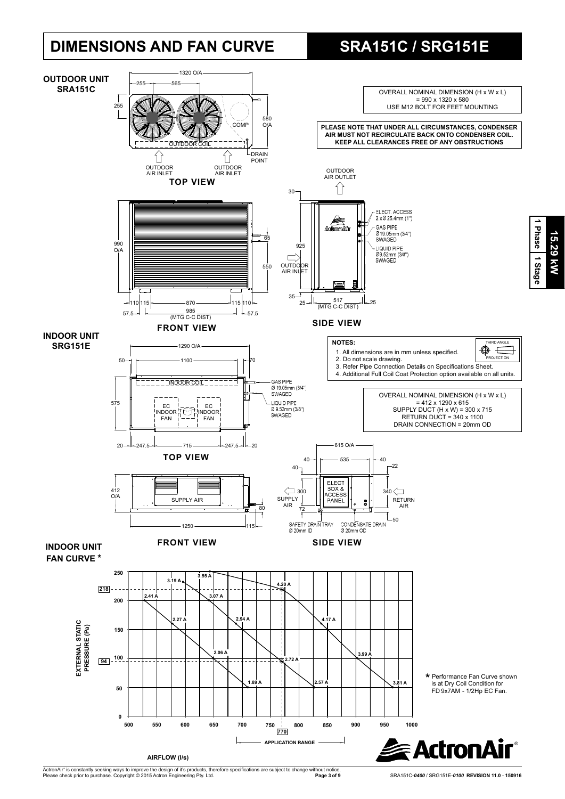# **DIMENSIONS AND FAN CURVE SRA151C / SRG151E**

**15.29 kW**

15.29 kW

**1 Phase**



ActronAir® is constantly seeking ways to improve the design of it's products, therefore specifications are subject to change without notice.<br>Please check prior to purchase. Copyright © 2015 Actron Engineering Pty. Ltd.

**Page 3 of 9** SRA151C-*0400* / SRG151E-*0100* **REVISION 11.0** - **150916**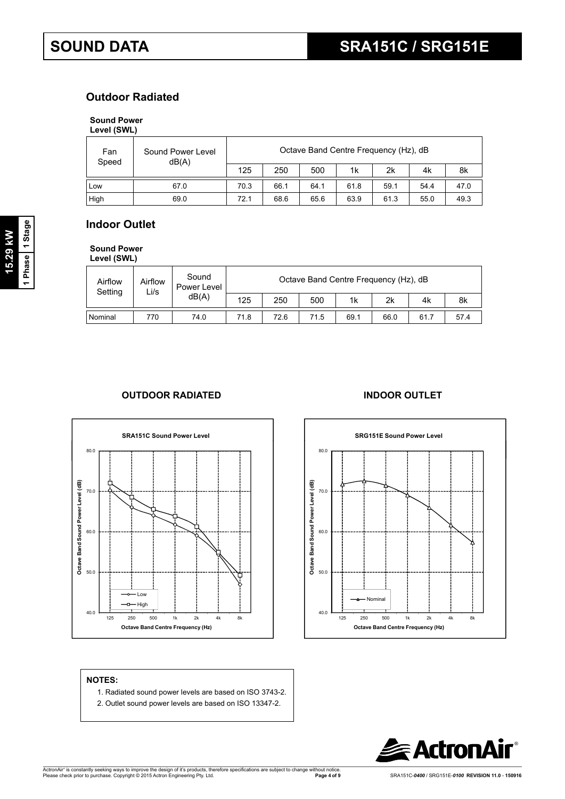## **Outdoor Radiated**

## **Sound Power**

| Level (SWL) |  |
|-------------|--|
|             |  |

| Fan<br>Speed | Sound Power Level<br>dB(A) |      |      |      | Octave Band Centre Frequency (Hz), dB |      |      |      |
|--------------|----------------------------|------|------|------|---------------------------------------|------|------|------|
|              |                            | 125  | 250  | 500  | 1k                                    | 2k   | 4k   | 8k   |
| Low          | 67.0                       | 70.3 | 66.1 | 64.1 | 61.8                                  | 59.1 | 54.4 | 47.0 |
| High         | 69.0                       | 72.1 | 68.6 | 65.6 | 63.9                                  | 61.3 | 55.0 | 49.3 |

# **Indoor Outlet**

**Sound Power Level (SWL)**

| -----------        |                 |                      |      |      |      |                                       |      |      |      |
|--------------------|-----------------|----------------------|------|------|------|---------------------------------------|------|------|------|
| Airflow<br>Setting | Airflow<br>Li/s | Sound<br>Power Level |      |      |      | Octave Band Centre Frequency (Hz), dB |      |      |      |
|                    |                 | dB(A)                | 125  | 250  | 500  | 1k                                    | 2k   | 4k   | 8k   |
| Nominal            | 770             | 74.0                 | 71.8 | 72.6 | 71.5 | 69.1                                  | 66.0 | 61.7 | 57.4 |

## **OUTDOOR RADIATED INDOOR OUTLET**





#### **NOTES:**

- 1. Radiated sound power levels are based on ISO 3743-2.
- 2. Outlet sound power levels are based on ISO 13347-2.

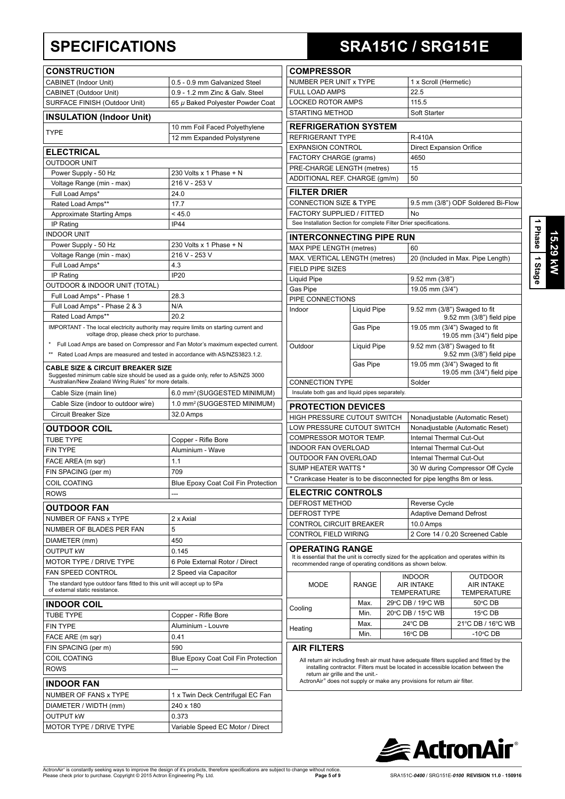| <b>CONSTRUCTION</b>                                                                                                                                                                          |                                                                                  |
|----------------------------------------------------------------------------------------------------------------------------------------------------------------------------------------------|----------------------------------------------------------------------------------|
| <b>CABINET (Indoor Unit)</b>                                                                                                                                                                 | 0.5 - 0.9 mm Galvanized Steel                                                    |
| CABINET (Outdoor Unit)                                                                                                                                                                       | 0.9 - 1.2 mm Zinc & Galv. Steel                                                  |
| SURFACE FINISH (Outdoor Unit)                                                                                                                                                                | 65 µ Baked Polyester Powder Coat                                                 |
| <b>INSULATION (Indoor Unit)</b>                                                                                                                                                              |                                                                                  |
| <b>TYPE</b>                                                                                                                                                                                  | 10 mm Foil Faced Polyethylene<br>12 mm Expanded Polystyrene                      |
|                                                                                                                                                                                              |                                                                                  |
| <b>ELECTRICAL</b>                                                                                                                                                                            |                                                                                  |
| <b>OUTDOOR UNIT</b>                                                                                                                                                                          |                                                                                  |
| Power Supply - 50 Hz                                                                                                                                                                         | 230 Volts x 1 Phase + N                                                          |
| Voltage Range (min - max)                                                                                                                                                                    | 216 V - 253 V<br>24.0                                                            |
| Full Load Amps*<br>Rated Load Amps**                                                                                                                                                         | 17.7                                                                             |
| <b>Approximate Starting Amps</b>                                                                                                                                                             | < 45.0                                                                           |
| IP Rating                                                                                                                                                                                    | <b>IP44</b>                                                                      |
| <b>INDOOR UNIT</b>                                                                                                                                                                           |                                                                                  |
| Power Supply - 50 Hz                                                                                                                                                                         | 230 Volts x 1 Phase + N                                                          |
| Voltage Range (min - max)                                                                                                                                                                    | 216 V - 253 V                                                                    |
| Full Load Amps*                                                                                                                                                                              | 4.3                                                                              |
| IP Rating                                                                                                                                                                                    | <b>IP20</b>                                                                      |
| OUTDOOR & INDOOR UNIT (TOTAL)                                                                                                                                                                |                                                                                  |
| Full Load Amps* - Phase 1                                                                                                                                                                    | 28.3                                                                             |
| Full Load Amps* - Phase 2 & 3                                                                                                                                                                | N/A                                                                              |
| Rated Load Amps**                                                                                                                                                                            | 20.2                                                                             |
| IMPORTANT - The local electricity authority may require limits on starting current and<br>voltage drop, please check prior to purchase.                                                      |                                                                                  |
|                                                                                                                                                                                              | Full Load Amps are based on Compressor and Fan Motor's maximum expected current. |
| Rated Load Amps are measured and tested in accordance with AS/NZS3823.1.2.                                                                                                                   |                                                                                  |
| <b>CABLE SIZE &amp; CIRCUIT BREAKER SIZE</b><br>Suggested minimum cable size should be used as a guide only, refer to AS/NZS 3000<br>"Australian/New Zealand Wiring Rules" for more details. |                                                                                  |
| Cable Size (main line)                                                                                                                                                                       | 6.0 mm <sup>2</sup> (SUGGESTED MINIMUM)                                          |
| Cable Size (indoor to outdoor wire)                                                                                                                                                          | 1.0 mm <sup>2</sup> (SUGGESTED MINIMUM)                                          |
| <b>Circuit Breaker Size</b>                                                                                                                                                                  | 32.0 Amps                                                                        |
|                                                                                                                                                                                              |                                                                                  |
| <b>OUTDOOR COIL</b>                                                                                                                                                                          |                                                                                  |
| <b>TUBE TYPE</b>                                                                                                                                                                             | Copper - Rifle Bore                                                              |
| <b>FIN TYPE</b>                                                                                                                                                                              | Aluminium - Wave                                                                 |
| FACE AREA (m sqr)                                                                                                                                                                            | 1.1                                                                              |
| FIN SPACING (per m)                                                                                                                                                                          | 709                                                                              |
| COIL COATING                                                                                                                                                                                 | Blue Epoxy Coat Coil Fin Protection                                              |
| <b>ROWS</b>                                                                                                                                                                                  |                                                                                  |
| <b>OUTDOOR FAN</b>                                                                                                                                                                           |                                                                                  |
| NUMBER OF FANS x TYPE                                                                                                                                                                        | 2 x Axial                                                                        |
| NUMBER OF BLADES PER FAN                                                                                                                                                                     | 5                                                                                |
| DIAMETER (mm)                                                                                                                                                                                | 450                                                                              |
| <b>OUTPUT KW</b>                                                                                                                                                                             | 0.145                                                                            |
| MOTOR TYPE / DRIVE TYPE                                                                                                                                                                      | 6 Pole External Rotor / Direct                                                   |
| <b>FAN SPEED CONTROL</b>                                                                                                                                                                     | 2 Speed via Capacitor                                                            |
| The standard type outdoor fans fitted to this unit will accept up to 5Pa<br>of external static resistance.                                                                                   |                                                                                  |
| <b>INDOOR COIL</b>                                                                                                                                                                           |                                                                                  |
| <b>TUBE TYPE</b>                                                                                                                                                                             | Copper - Rifle Bore                                                              |
| <b>FIN TYPE</b>                                                                                                                                                                              | Aluminium - Louvre                                                               |
| FACE ARE (m sqr)                                                                                                                                                                             | 0.41                                                                             |
| FIN SPACING (per m)                                                                                                                                                                          | 590                                                                              |
| <b>COIL COATING</b>                                                                                                                                                                          | Blue Epoxy Coat Coil Fin Protection                                              |
| <b>ROWS</b>                                                                                                                                                                                  |                                                                                  |
|                                                                                                                                                                                              |                                                                                  |
| INDOOR FAN                                                                                                                                                                                   |                                                                                  |
| NUMBER OF FANS x TYPE                                                                                                                                                                        | 1 x Twin Deck Centrifugal EC Fan                                                 |
| DIAMETER / WIDTH (mm)                                                                                                                                                                        | 240 x 180                                                                        |
| OUTPUT kW                                                                                                                                                                                    | 0.373                                                                            |
| MOTOR TYPE / DRIVE TYPE                                                                                                                                                                      | Variable Speed EC Motor / Direct                                                 |

# **SPECIFICATIONS SRA151C / SRG151E**

| <b>COMPRESSOR</b>                                                                                                                                                                   |                    |                                                             |                                                                                                                                                                               |  |  |
|-------------------------------------------------------------------------------------------------------------------------------------------------------------------------------------|--------------------|-------------------------------------------------------------|-------------------------------------------------------------------------------------------------------------------------------------------------------------------------------|--|--|
| NUMBER PER UNIT x TYPE                                                                                                                                                              |                    | 1 x Scroll (Hermetic)                                       |                                                                                                                                                                               |  |  |
| <b>FULL LOAD AMPS</b>                                                                                                                                                               |                    | 22.5                                                        |                                                                                                                                                                               |  |  |
| LOCKED ROTOR AMPS                                                                                                                                                                   |                    | 115.5                                                       |                                                                                                                                                                               |  |  |
| <b>STARTING METHOD</b>                                                                                                                                                              |                    | Soft Starter                                                |                                                                                                                                                                               |  |  |
| <b>REFRIGERATION SYSTEM</b>                                                                                                                                                         |                    |                                                             |                                                                                                                                                                               |  |  |
| <b>REFRIGERANT TYPE</b>                                                                                                                                                             |                    | <b>R-410A</b>                                               |                                                                                                                                                                               |  |  |
| <b>EXPANSION CONTROL</b>                                                                                                                                                            |                    | <b>Direct Expansion Orifice</b>                             |                                                                                                                                                                               |  |  |
| FACTORY CHARGE (grams)                                                                                                                                                              |                    | 4650<br>15                                                  |                                                                                                                                                                               |  |  |
| PRE-CHARGE LENGTH (metres)<br>ADDITIONAL REF. CHARGE (gm/m)                                                                                                                         |                    | 50                                                          |                                                                                                                                                                               |  |  |
|                                                                                                                                                                                     |                    |                                                             |                                                                                                                                                                               |  |  |
| <b>FILTER DRIER</b>                                                                                                                                                                 |                    |                                                             |                                                                                                                                                                               |  |  |
| <b>CONNECTION SIZE &amp; TYPE</b>                                                                                                                                                   |                    |                                                             | 9.5 mm (3/8") ODF Soldered Bi-Flow                                                                                                                                            |  |  |
| FACTORY SUPPLIED / FITTED<br>See Installation Section for complete Filter Drier specifications.                                                                                     |                    | No                                                          |                                                                                                                                                                               |  |  |
|                                                                                                                                                                                     |                    |                                                             |                                                                                                                                                                               |  |  |
| <b>INTERCONNECTING PIPE RUN</b>                                                                                                                                                     |                    |                                                             |                                                                                                                                                                               |  |  |
| MAX PIPE LENGTH (metres)                                                                                                                                                            |                    | 60                                                          |                                                                                                                                                                               |  |  |
| MAX. VERTICAL LENGTH (metres)                                                                                                                                                       |                    |                                                             | 20 (Included in Max. Pipe Length)                                                                                                                                             |  |  |
| <b>FIELD PIPE SIZES</b>                                                                                                                                                             |                    |                                                             |                                                                                                                                                                               |  |  |
| <b>Liquid Pipe</b>                                                                                                                                                                  |                    | $9.52$ mm $(3/8")$                                          |                                                                                                                                                                               |  |  |
| Gas Pipe<br>PIPE CONNECTIONS                                                                                                                                                        |                    | 19.05 mm (3/4")                                             |                                                                                                                                                                               |  |  |
| Indoor                                                                                                                                                                              | <b>Liquid Pipe</b> |                                                             | 9.52 mm (3/8") Swaged to fit                                                                                                                                                  |  |  |
|                                                                                                                                                                                     |                    | 9.52 mm (3/8") field pipe                                   |                                                                                                                                                                               |  |  |
|                                                                                                                                                                                     | Gas Pipe           |                                                             | 19.05 mm (3/4") Swaged to fit<br>19.05 mm (3/4") field pipe                                                                                                                   |  |  |
| Outdoor                                                                                                                                                                             | <b>Liquid Pipe</b> | 9.52 mm (3/8") Swaged to fit<br>9.52 mm (3/8") field pipe   |                                                                                                                                                                               |  |  |
|                                                                                                                                                                                     | Gas Pipe           | 19.05 mm (3/4") Swaged to fit<br>19.05 mm (3/4") field pipe |                                                                                                                                                                               |  |  |
| <b>CONNECTION TYPE</b>                                                                                                                                                              |                    | Solder                                                      |                                                                                                                                                                               |  |  |
| Insulate both gas and liquid pipes separately.                                                                                                                                      |                    |                                                             |                                                                                                                                                                               |  |  |
| <b>PROTECTION DEVICES</b>                                                                                                                                                           |                    |                                                             |                                                                                                                                                                               |  |  |
| HIGH PRESSURE CUTOUT SWITCH                                                                                                                                                         |                    |                                                             | Nonadjustable (Automatic Reset)                                                                                                                                               |  |  |
| LOW PRESSURE CUTOUT SWITCH                                                                                                                                                          |                    |                                                             | Nonadjustable (Automatic Reset)                                                                                                                                               |  |  |
| <b>COMPRESSOR MOTOR TEMP.</b>                                                                                                                                                       |                    | Internal Thermal Cut-Out                                    |                                                                                                                                                                               |  |  |
| <b>INDOOR FAN OVERLOAD</b>                                                                                                                                                          |                    | Internal Thermal Cut-Out                                    |                                                                                                                                                                               |  |  |
| OUTDOOR FAN OVERLOAD                                                                                                                                                                |                    | Internal Thermal Cut-Out                                    |                                                                                                                                                                               |  |  |
| SUMP HEATER WATTS*                                                                                                                                                                  |                    |                                                             | 30 W during Compressor Off Cycle                                                                                                                                              |  |  |
| * Crankcase Heater is to be disconnected for pipe lengths 8m or less.                                                                                                               |                    |                                                             |                                                                                                                                                                               |  |  |
| <b>ELECTRIC CONTROLS</b>                                                                                                                                                            |                    |                                                             |                                                                                                                                                                               |  |  |
| DEFROST METHOD                                                                                                                                                                      |                    | Reverse Cycle                                               |                                                                                                                                                                               |  |  |
| <b>DEFROST TYPE</b>                                                                                                                                                                 |                    | <b>Adaptive Demand Defrost</b>                              |                                                                                                                                                                               |  |  |
| CONTROL CIRCUIT BREAKER                                                                                                                                                             |                    | 10.0 Amps                                                   |                                                                                                                                                                               |  |  |
| <b>CONTROL FIELD WIRING</b>                                                                                                                                                         |                    |                                                             | 2 Core 14 / 0.20 Screened Cable                                                                                                                                               |  |  |
| <b>OPERATING RANGE</b><br>It is essential that the unit is correctly sized for the application and operates within its<br>recommended range of operating conditions as shown below. |                    |                                                             |                                                                                                                                                                               |  |  |
| <b>MODE</b>                                                                                                                                                                         | <b>RANGE</b>       | <b>INDOOR</b><br><b>AIR INTAKE</b><br><b>TEMPERATURE</b>    | <b>OUTDOOR</b><br><b>AIR INTAKE</b><br><b>TEMPERATURE</b>                                                                                                                     |  |  |
| Cooling                                                                                                                                                                             | Max.               | 29°C DB / 19°C WB                                           | 50°C DB                                                                                                                                                                       |  |  |
|                                                                                                                                                                                     | Min.               | 20°C DB / 15°C WB                                           | 15°C DB                                                                                                                                                                       |  |  |
| Heating                                                                                                                                                                             | Max.               | 24°C DB                                                     | 21°C DB / 16°C WB                                                                                                                                                             |  |  |
|                                                                                                                                                                                     | Min.               | $16^{\circ}$ CDB                                            | $-10^{\circ}$ CDB                                                                                                                                                             |  |  |
| <b>AIR FILTERS</b>                                                                                                                                                                  |                    |                                                             | All return air including fresh air must have adequate filters supplied and fitted by the<br>installing contractor. Filters must be located in accessible location between the |  |  |

All return air including fresh air must have adequate filters supplied and fitted by the installing contractor. Filters must be located in accessible location between the return air grille and the unit.<br>
ActronAir<sup>®</sup> does



**15.29 kW**

**1 Phase**

 **1 Stage**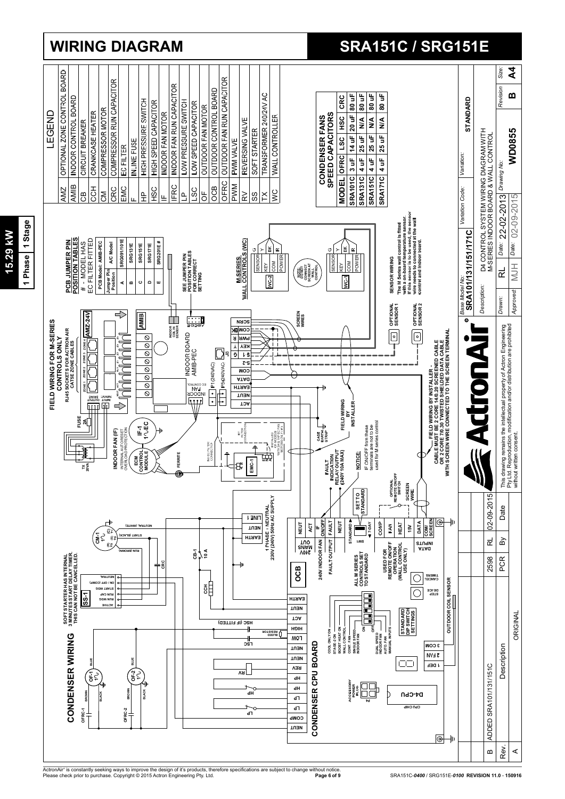

**15.29 kW 1 Phase 1 Stage**

**MY 67'SL** 

1 Phase 1 Stage

# **WIRING DIAGRAM SRA151C / SRG151E**

ActronAir® is constantly seeking ways to improve the design of it's products, therefore specifications are subject to change without notice.<br>Please check prior to purchase. Copyright © 2015 Actron Engineering Pty. Ltd.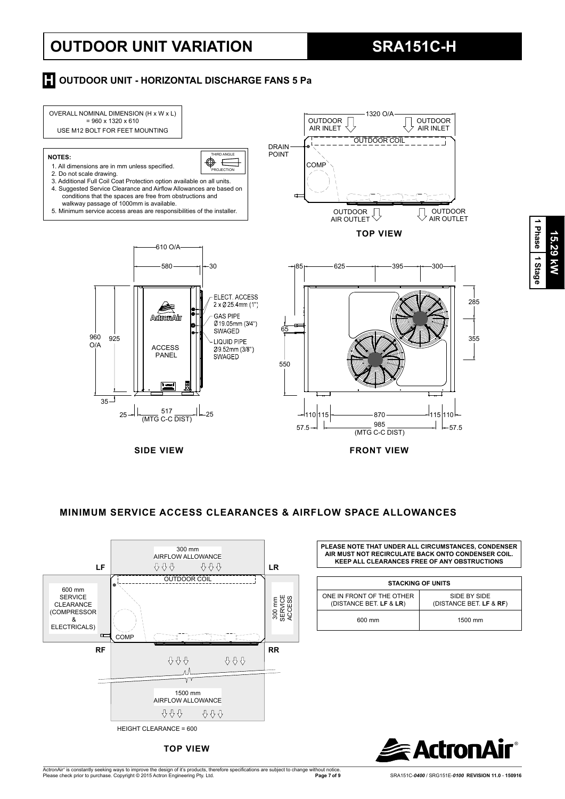# **OUTDOOR UNIT VARIATION SRA151C-H**

**15.29 kW**

15.29 kW

**1 Phase**

 **1 Stage**

## **H** OUTDOOR UNIT - HORIZONTAL DISCHARGE FANS 5 Pa



## **MINIMUM SERVICE ACCESS CLEARANCES & AIRFLOW SPACE ALLOWANCES**



**TOP VIEW**

**PLEASE NOTE THAT UNDER ALL CIRCUMSTANCES, CONDENSER AIR MUST NOT RECIRCULATE BACK ONTO CONDENSER COIL. KEEP ALL CLEARANCES FREE OF ANY OBSTRUCTIONS**

|                                                      | <b>STACKING OF UNITS</b>                |
|------------------------------------------------------|-----------------------------------------|
| ONE IN FRONT OF THE OTHER<br>(DISTANCE BET. LF & LR) | SIDE BY SIDE<br>(DISTANCE BET. LF & RF) |
| 600 mm                                               | 1500 mm                                 |

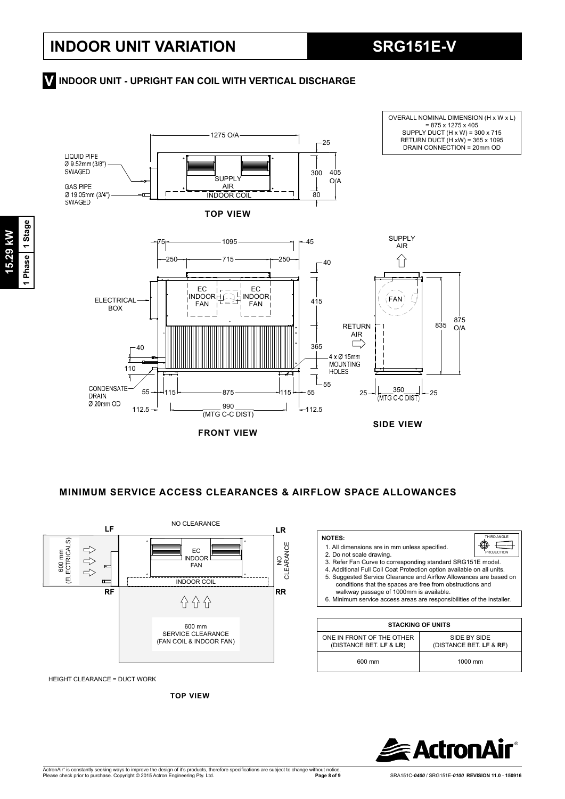## **INDOOR UNIT - UPRIGHT FAN COIL WITH VERTICAL DISCHARGE V**



**FRONT VIEW**

 **MINIMUM SERVICE ACCESS CLEARANCES & AIRFLOW SPACE ALLOWANCES**



HEIGHT CLEARANCE = DUCT WORK

**TOP VIEW**

| 1. All dimensions are in mm unless specified.<br>2. Do not scale drawing.<br>3. Refer Fan Curve to corresponding standard SRG151E model.<br>4. Additional Full Coil Coat Protection option available on all units.<br>5. Suggested Service Clearance and Airflow Allowances are based on<br>conditions that the spaces are free from obstructions and<br>walkway passage of 1000mm is available.<br>6. Minimum service access areas are responsibilities of the installer. | PROJECTION                              |
|----------------------------------------------------------------------------------------------------------------------------------------------------------------------------------------------------------------------------------------------------------------------------------------------------------------------------------------------------------------------------------------------------------------------------------------------------------------------------|-----------------------------------------|
|                                                                                                                                                                                                                                                                                                                                                                                                                                                                            |                                         |
| <b>STACKING OF UNITS</b>                                                                                                                                                                                                                                                                                                                                                                                                                                                   |                                         |
| ONE IN FRONT OF THE OTHER<br>(DISTANCE BET. LF & LR)                                                                                                                                                                                                                                                                                                                                                                                                                       | SIDE BY SIDE<br>(DISTANCE BET. LF & RF) |